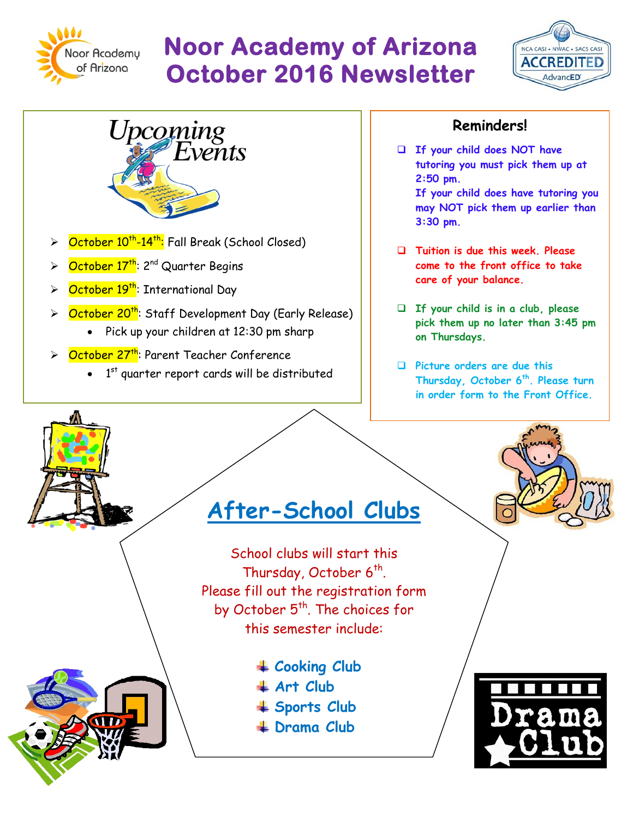

# **Noor Academy of Arizona October 2016 Newsletter**